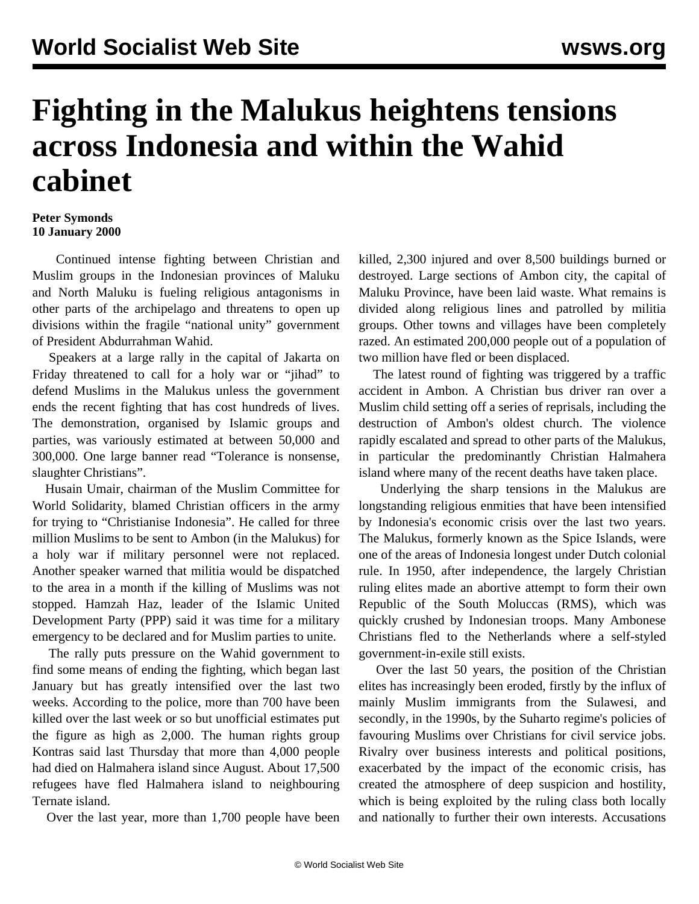## **Fighting in the Malukus heightens tensions across Indonesia and within the Wahid cabinet**

## **Peter Symonds 10 January 2000**

 Continued intense fighting between Christian and Muslim groups in the Indonesian provinces of Maluku and North Maluku is fueling religious antagonisms in other parts of the archipelago and threatens to open up divisions within the fragile "national unity" government of President Abdurrahman Wahid.

 Speakers at a large rally in the capital of Jakarta on Friday threatened to call for a holy war or "jihad" to defend Muslims in the Malukus unless the government ends the recent fighting that has cost hundreds of lives. The demonstration, organised by Islamic groups and parties, was variously estimated at between 50,000 and 300,000. One large banner read "Tolerance is nonsense, slaughter Christians".

 Husain Umair, chairman of the Muslim Committee for World Solidarity, blamed Christian officers in the army for trying to "Christianise Indonesia". He called for three million Muslims to be sent to Ambon (in the Malukus) for a holy war if military personnel were not replaced. Another speaker warned that militia would be dispatched to the area in a month if the killing of Muslims was not stopped. Hamzah Haz, leader of the Islamic United Development Party (PPP) said it was time for a military emergency to be declared and for Muslim parties to unite.

 The rally puts pressure on the Wahid government to find some means of ending the fighting, which began last January but has greatly intensified over the last two weeks. According to the police, more than 700 have been killed over the last week or so but unofficial estimates put the figure as high as 2,000. The human rights group Kontras said last Thursday that more than 4,000 people had died on Halmahera island since August. About 17,500 refugees have fled Halmahera island to neighbouring Ternate island.

Over the last year, more than 1,700 people have been

killed, 2,300 injured and over 8,500 buildings burned or destroyed. Large sections of Ambon city, the capital of Maluku Province, have been laid waste. What remains is divided along religious lines and patrolled by militia groups. Other towns and villages have been completely razed. An estimated 200,000 people out of a population of two million have fled or been displaced.

 The latest round of fighting was triggered by a traffic accident in Ambon. A Christian bus driver ran over a Muslim child setting off a series of reprisals, including the destruction of Ambon's oldest church. The violence rapidly escalated and spread to other parts of the Malukus, in particular the predominantly Christian Halmahera island where many of the recent deaths have taken place.

 Underlying the sharp tensions in the Malukus are longstanding religious enmities that have been intensified by Indonesia's economic crisis over the last two years. The Malukus, formerly known as the Spice Islands, were one of the areas of Indonesia longest under Dutch colonial rule. In 1950, after independence, the largely Christian ruling elites made an abortive attempt to form their own Republic of the South Moluccas (RMS), which was quickly crushed by Indonesian troops. Many Ambonese Christians fled to the Netherlands where a self-styled government-in-exile still exists.

 Over the last 50 years, the position of the Christian elites has increasingly been eroded, firstly by the influx of mainly Muslim immigrants from the Sulawesi, and secondly, in the 1990s, by the Suharto regime's policies of favouring Muslims over Christians for civil service jobs. Rivalry over business interests and political positions, exacerbated by the impact of the economic crisis, has created the atmosphere of deep suspicion and hostility, which is being exploited by the ruling class both locally and nationally to further their own interests. Accusations